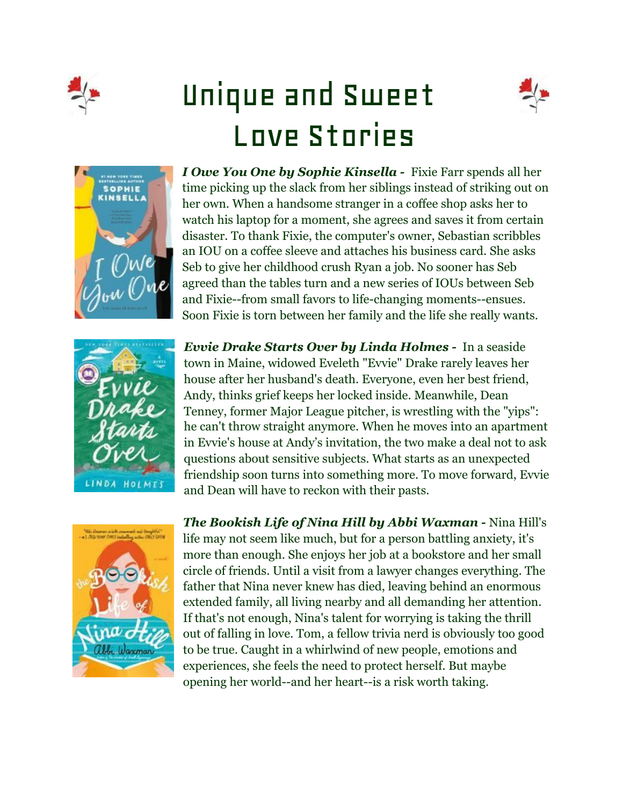

## Unique and Sweet Love Stories







*I Owe You One by Sophie Kinsella -* Fixie Farr spends all her time picking up the slack from her siblings instead of striking out on her own. When a handsome stranger in a coffee shop asks her to watch his laptop for a moment, she agrees and saves it from certain disaster. To thank Fixie, the computer's owner, Sebastian scribbles an IOU on a coffee sleeve and attaches his business card. She asks Seb to give her childhood crush Ryan a job. No sooner has Seb agreed than the tables turn and a new series of IOUs between Seb and Fixie--from small favors to life-changing moments--ensues. Soon Fixie is torn between her family and the life she really wants.

*Evvie Drake Starts Over by Linda Holmes -* In a seaside town in Maine, widowed Eveleth "Evvie" Drake rarely leaves her house after her husband's death. Everyone, even her best friend, Andy, thinks grief keeps her locked inside. Meanwhile, Dean Tenney, former Major League pitcher, is wrestling with the "yips": he can't throw straight anymore. When he moves into an apartment in Evvie's house at Andy's invitation, the two make a deal not to ask questions about sensitive subjects. What starts as an unexpected friendship soon turns into something more. To move forward, Evvie and Dean will have to reckon with their pasts.



*The Bookish Life of Nina Hill by Abbi Waxman -* Nina Hill's life may not seem like much, but for a person battling anxiety, it's more than enough. She enjoys her job at a bookstore and her small circle of friends. Until a visit from a lawyer changes everything. The father that Nina never knew has died, leaving behind an enormous extended family, all living nearby and all demanding her attention. If that's not enough, Nina's talent for worrying is taking the thrill out of falling in love. Tom, a fellow trivia nerd is obviously too good to be true. Caught in a whirlwind of new people, emotions and experiences, she feels the need to protect herself. But maybe opening her world--and her heart--is a risk worth taking.